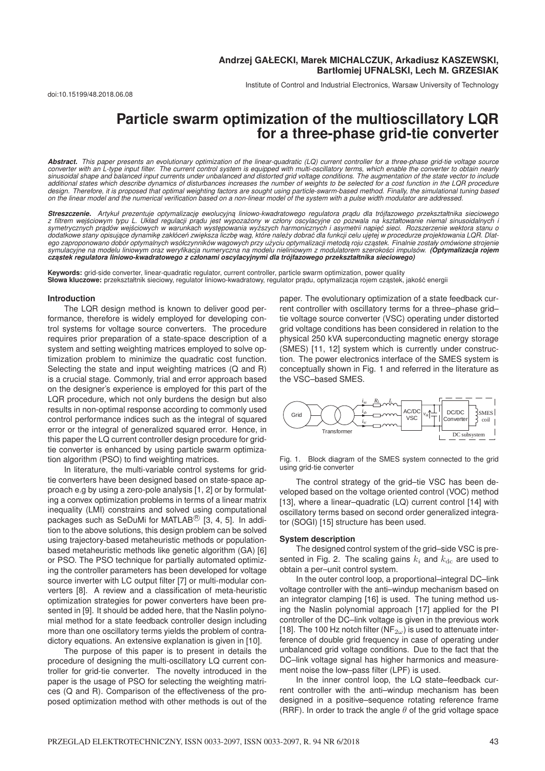Institute of Control and Industrial Electronics, Warsaw University of Technology

# **Particle swarm optimization of the multioscillatory LQR for a three-phase grid-tie converter**

*Abstract. This paper presents an evolutionary optimization of the linear-quadratic (LQ) current controller for a three-phase grid-tie voltage source converter with an L-type input filter. The current control system is equipped with multi-oscillatory terms, which enable the converter to obtain nearly sinusoidal shape and balanced input currents under unbalanced and distorted grid voltage conditions. The augmentation of the state vector to include additional states which describe dynamics of disturbances increases the number of weights to be selected for a cost function in the LQR procedure* design. Therefore, it is proposed that optimal weighting factors are sought using particle-swarm-based method. Finally, the simulational tuning based<br>on the linear model and the numerical verification based on a non-linear

**Streszczenie.** Artykuł prezentuje optymalizację ewolucyjną liniowo-kwadratowego regulatora prądu dla trójfazowego przekształtnika sieciowego<br>z filtrem wejściowym typu L. Układ regulacji prądu jest wypozażony w człony oscy symetrycznych prądów wejściowych w warunkach występowania wyższych harmonicznych i asymetrii napięć sieci. Rozszerzenie wektora stanu o dodatkowe stany opisujące dynamikę zakłóceń zwiększa liczbę wag, które należy dobrać dla funkcji celu ujętej w procedurze projektowania LQR. Dlat*ego zaproponowano dobór optymalnych wsółczynników wagowych przy uzyciu optymalizacji metod ˛ ˙ a roju cz ˛astek. Finalnie zostały omówione strojenie symulacyjne na modelu liniowym oraz weryfikacja numeryczna na modelu nieliniowym z modulatorem szerokosci impulsów. ´ (Optymalizacja rojem cz ˛astek regulatora liniowo-kwadratowego z członami oscylacyjnymi dla trójfazowego przekształtnika sieciowego)*

**Keywords:** grid-side converter, linear-quadratic regulator, current controller, particle swarm optimization, power quality Słowa kluczowe: przekształtnik sieciowy, regulator liniowo-kwadratowy, regulator pradu, optymalizacja rojem cząstek, jakość energii

#### **Introduction**

The LQR design method is known to deliver good performance, therefore is widely employed for developing control systems for voltage source converters. The procedure requires prior preparation of a state-space description of a system and setting weighting matrices employed to solve optimization problem to minimize the quadratic cost function. Selecting the state and input weighting matrices (Q and R) is a crucial stage. Commonly, trial and error approach based on the designer's experience is employed for this part of the LQR procedure, which not only burdens the design but also results in non-optimal response according to commonly used control performance indices such as the integral of squared error or the integral of generalized squared error. Hence, in this paper the LQ current controller design procedure for gridtie converter is enhanced by using particle swarm optimization algorithm (PSO) to find weighting matrices.

In literature, the multi-variable control systems for gridtie converters have been designed based on state-space approach e.g by using a zero-pole analysis [1, 2] or by formulating a convex optimization problems in terms of a linear matrix inequality (LMI) constrains and solved using computational packages such as SeDuMi for MATLAB<sup>®</sup> [3, 4, 5]. In addition to the above solutions, this design problem can be solved using trajectory-based metaheuristic methods or populationbased metaheuristic methods like genetic algorithm (GA) [6] or PSO. The PSO technique for partially automated optimizing the controller parameters has been developed for voltage source inverter with LC output filter [7] or multi-modular converters [8]. A review and a classification of meta-heuristic optimization strategies for power converters have been presented in [9]. It should be added here, that the Naslin polynomial method for a state feedback controller design including more than one oscillatory terms yields the problem of contradictory equations. An extensive explanation is given in [10].

The purpose of this paper is to present in details the procedure of designing the multi-oscillatory LQ current controller for grid-tie converter. The novelty introduced in the paper is the usage of PSO for selecting the weighting matrices (Q and R). Comparison of the effectiveness of the proposed optimization method with other methods is out of the paper. The evolutionary optimization of a state feedback current controller with oscillatory terms for a three–phase grid– tie voltage source converter (VSC) operating under distorted grid voltage conditions has been considered in relation to the physical 250 kVA superconducting magnetic energy storage (SMES) [11, 12] system which is currently under construction. The power electronics interface of the SMES system is conceptually shown in Fig. 1 and referred in the literature as the VSC–based SMES.



Fig. 1. Block diagram of the SMES system connected to the grid using grid-tie converter

The control strategy of the grid–tie VSC has been developed based on the voltage oriented control (VOC) method [13], where a linear–quadratic (LQ) current control [14] with oscillatory terms based on second order generalized integrator (SOGI) [15] structure has been used.

#### **System description**

The designed control system of the grid–side VSC is presented in Fig. 2. The scaling gains  $k_i$  and  $k_{\text{dc}}$  are used to obtain a per–unit control system.

In the outer control loop, a proportional–integral DC–link voltage controller with the anti–windup mechanism based on an integrator clamping [16] is used. The tuning method using the Naslin polynomial approach [17] applied for the PI controller of the DC–link voltage is given in the previous work [18]. The 100 Hz notch filter (NF<sub>2ω</sub>) is used to attenuate interference of double grid frequency in case of operating under unbalanced grid voltage conditions. Due to the fact that the DC–link voltage signal has higher harmonics and measurement noise the low–pass filter (LPF) is used.

In the inner control loop, the LQ state–feedback current controller with the anti–windup mechanism has been designed in a positive–sequence rotating reference frame (RRF). In order to track the angle  $\theta$  of the grid voltage space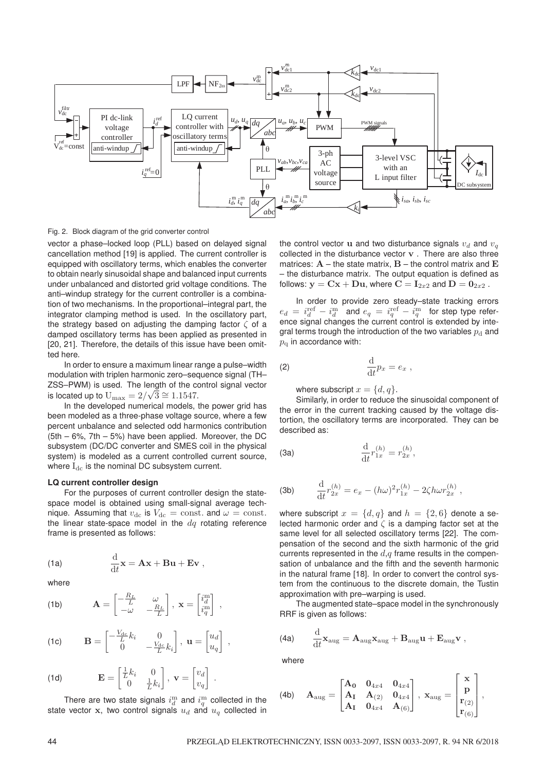

Fig. 2. Block diagram of the grid converter control

vector a phase–locked loop (PLL) based on delayed signal cancellation method [19] is applied. The current controller is equipped with oscillatory terms, which enables the converter to obtain nearly sinusoidal shape and balanced input currents under unbalanced and distorted grid voltage conditions. The anti–windup strategy for the current controller is a combination of two mechanisms. In the proportional–integral part, the integrator clamping method is used. In the oscillatory part, the strategy based on adjusting the damping factor  $\zeta$  of a damped oscillatory terms has been applied as presented in [20, 21]. Therefore, the details of this issue have been omitted here.

In order to ensure a maximum linear range a pulse–width modulation with triplen harmonic zero–sequence signal (TH– ZSS–PWM) is used. The length of the control signal vector is located up to  $U_{\text{max}} = 2/\sqrt{3} \approx 1.1547$ .

In the developed numerical models, the power grid has been modeled as a three-phase voltage source, where a few percent unbalance and selected odd harmonics contribution  $(5th - 6\%, 7th - 5\%)$  have been applied. Moreover, the DC subsystem (DC/DC converter and SMES coil in the physical system) is modeled as a current controlled current source, where  $I_{dc}$  is the nominal DC subsystem current.

## **LQ current controller design**

For the purposes of current controller design the statespace model is obtained using small-signal average technique. Assuming that  $v_{\text{dc}}$  is  $V_{\text{dc}} = \text{const.}$  and  $\omega = \text{const.}$ the linear state-space model in the  $dq$  rotating reference frame is presented as follows:

,

(1a) 
$$
\frac{\mathrm{d}}{\mathrm{d}t}\mathbf{x} = \mathbf{A}\mathbf{x} + \mathbf{B}\mathbf{u} + \mathbf{E}\mathbf{v},
$$

where

(1b) 
$$
\mathbf{A} = \begin{bmatrix} -\frac{R_L}{L} & \omega \\ -\omega & -\frac{R_L}{L} \end{bmatrix}, \ \mathbf{x} = \begin{bmatrix} i_d^m \\ i_q^m \end{bmatrix}
$$

(1c) 
$$
\mathbf{B} = \begin{bmatrix} -\frac{V_{dc}}{L}k_i & 0\\ 0 & -\frac{V_{dc}}{L}k_i \end{bmatrix}, \mathbf{u} = \begin{bmatrix} u_d\\ u_q \end{bmatrix},
$$

(1d) 
$$
\mathbf{E} = \begin{bmatrix} \frac{1}{L} k_i & 0 \\ 0 & \frac{1}{L} k_i \end{bmatrix}, \mathbf{v} = \begin{bmatrix} v_d \\ v_q \end{bmatrix}.
$$

There are two state signals  $i_d^{\text{m}}$  and  $i_d^{\text{m}}$  collected in the state vector  $x$ , two control signals  $u_d$  and  $u_q$  collected in the control vector **u** and two disturbance signals  $v_d$  and  $v_q$ collected in the disturbance vector **v** . There are also three matrices: **A** – the state matrix, **B** – the control matrix and **E** – the disturbance matrix. The output equation is defined as follows:  $y = Cx + Du$ , where  $C = I_{2x2}$  and  $D = 0_{2x2}$ .

In order to provide zero steady–state tracking errors  $e_d = i_d^{\text{ref}} - i_d^{\text{m}}$  and  $e_q = i_q^{\text{ref}} - i_q^{\text{m}}$  for step type reference signal changes the current control is extended by integral terms trough the introduction of the two variables  $p_d$  and  $p_{\alpha}$  in accordance with:

$$
\frac{\mathrm{d}}{\mathrm{d}t}p_x = e_x \ ,
$$

where subscript  $x = \{d, q\}.$ 

Similarly, in order to reduce the sinusoidal component of the error in the current tracking caused by the voltage distortion, the oscillatory terms are incorporated. They can be described as:

(3a) 
$$
\frac{d}{dt}r_{1x}^{(h)} = r_{2x}^{(h)},
$$

(3b) 
$$
\frac{\mathrm{d}}{\mathrm{d}t}r_{2x}^{(h)} = e_x - (h\omega)^2 r_{1x}^{(h)} - 2\zeta h \omega r_{2x}^{(h)},
$$

where subscript  $x = \{d, q\}$  and  $h = \{2, 6\}$  denote a selected harmonic order and  $\zeta$  is a damping factor set at the same level for all selected oscillatory terms [22]. The compensation of the second and the sixth harmonic of the grid currents represented in the  $d,q$  frame results in the compensation of unbalance and the fifth and the seventh harmonic in the natural frame [18]. In order to convert the control system from the continuous to the discrete domain, the Tustin approximation with pre–warping is used.

The augmented state–space model in the synchronously RRF is given as follows:

(4a) 
$$
\frac{\mathrm{d}}{\mathrm{d}t} \mathbf{x}_{\text{aug}} = \mathbf{A}_{\text{aug}} \mathbf{x}_{\text{aug}} + \mathbf{B}_{\text{aug}} \mathbf{u} + \mathbf{E}_{\text{aug}} \mathbf{v} ,
$$

where

(4b) 
$$
\mathbf{A}_{\text{aug}} = \begin{bmatrix} \mathbf{A}_0 & \mathbf{0}_{4x4} & \mathbf{0}_{4x4} \\ \mathbf{A}_1 & \mathbf{A}_{(2)} & \mathbf{0}_{4x4} \\ \mathbf{A}_1 & \mathbf{0}_{4x4} & \mathbf{A}_{(6)} \end{bmatrix}, \ \mathbf{x}_{\text{aug}} = \begin{bmatrix} \mathbf{x} \\ \mathbf{p} \\ \mathbf{r}_{(2)} \\ \mathbf{r}_{(6)} \end{bmatrix},
$$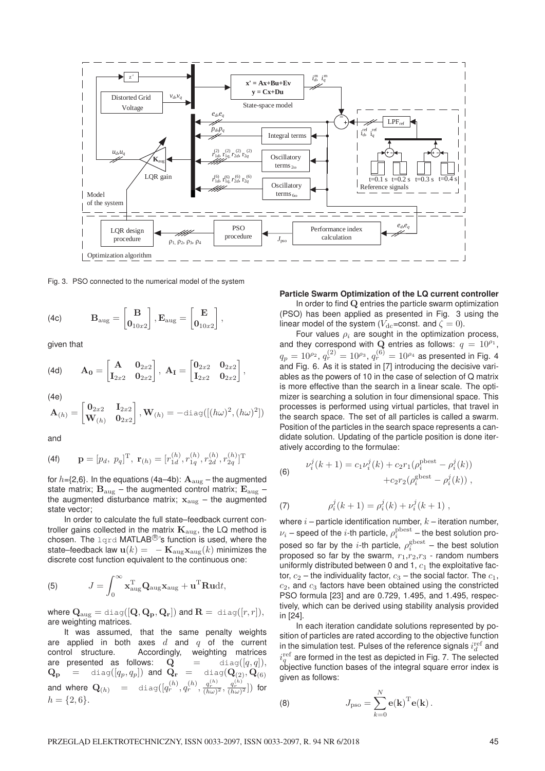

Fig. 3. PSO connected to the numerical model of the system

(4c) 
$$
\mathbf{B}_{\text{aug}} = \begin{bmatrix} \mathbf{B} \\ \mathbf{0}_{10x2} \end{bmatrix}, \mathbf{E}_{\text{aug}} = \begin{bmatrix} \mathbf{E} \\ \mathbf{0}_{10x2} \end{bmatrix},
$$

given that

(4d) 
$$
\mathbf{A_0} = \begin{bmatrix} \mathbf{A} & \mathbf{0}_{2x2} \\ \mathbf{I}_{2x2} & \mathbf{0}_{2x2} \end{bmatrix}, \ \mathbf{A_I} = \begin{bmatrix} \mathbf{0}_{2x2} & \mathbf{0}_{2x2} \\ \mathbf{I}_{2x2} & \mathbf{0}_{2x2} \end{bmatrix},
$$

(4e)

$$
\mathbf{A}_{(h)} = \begin{bmatrix} \mathbf{0}_{2x2} & \mathbf{I}_{2x2} \\ \mathbf{W}_{(h)} & \mathbf{0}_{2x2} \end{bmatrix}, \mathbf{W}_{(h)} = -\text{diag}([(h\omega)^2, (h\omega)^2])
$$

and

(4f) 
$$
\mathbf{p} = [p_d, p_q]^{\mathrm{T}}, \mathbf{r}_{(h)} = [r_{1d}^{(h)}, r_{1q}^{(h)}, r_{2d}^{(h)}, r_{2q}^{(h)}]^{\mathrm{T}}
$$

for  $h={2,6}$ . In the equations (4a–4b):  ${\bf A}_{\text{aug}}$  – the augmented state matrix;  $B_{\text{aug}}$  – the augmented control matrix;  $E_{\text{aug}}$  – the augmented disturbance matrix;  $x_{\text{aug}}$  – the augmented state vector;

In order to calculate the full state–feedback current controller gains collected in the matrix **K**aug, the LQ method is chosen. The  $1qrd$  MATLAB<sup>(B)</sup>'s function is used, where the state–feedback law  $\mathbf{u}(k) = -\mathbf{K}_{\text{aug}}\mathbf{x}_{\text{aug}}(k)$  minimizes the discrete cost function equivalent to the continuous one:

(5) 
$$
J = \int_0^\infty \mathbf{x}_{\text{aug}}^{\text{T}} \mathbf{Q}_{\text{aug}} \mathbf{x}_{\text{aug}} + \mathbf{u}^{\text{T}} \mathbf{R} \mathbf{u} \mathrm{d}t,
$$

where  $\mathbf{Q}_{\text{aug}} = \text{diag}([\mathbf{Q}, \mathbf{Q}_{\mathbf{p}}, \mathbf{Q}_{\mathbf{r}}])$  and  $\mathbf{R} = \text{diag}([r, r]),$ are weighting matrices.

It was assumed, that the same penalty weights are applied in both axes  $d$  and  $q$  of the current control structure. Accordingly, weighting matrices are presented as follows:  $\widetilde{\mathbf{Q}}$  = diag([q,q]),  ${\bf Q}_{\bf p}$  = diag( $[q_p, q_p]$ ) and  ${\bf Q}_{\bf r}$  = diag( ${\bf Q}^{(11,11,10)}_{(2)}$ and where  $\mathbf{Q}_{(h)}$  = diag $([q_r^{(h)}, q_r^{(h)}, \frac{q_r^{(h)}}{(h\omega)^2}, \frac{q_r^{(h)}}{(h\omega)^2}])$  for  $h = \{2, 6\}.$ 

## **Particle Swarm Optimization of the LQ current controller**

In order to find **Q** entries the particle swarm optimization (PSO) has been applied as presented in Fig. 3 using the linear model of the system ( $V_{dc}$ =const. and  $\zeta = 0$ ).

Four values  $\rho_i$  are sought in the optimization process, and they correspond with **Q** entries as follows:  $q = 10^{p_1}$ ,  $q_p = 10^{\rho_2}$ ,  $q_r^{(2)} = 10^{\rho_3}$ ,  $q_r^{(6)} = 10^{\rho_4}$  as presented in Fig. 4 and Fig. 6. As it is stated in [7] introducing the decisive variables as the powers of 10 in the case of selection of Q matrix is more effective than the search in a linear scale. The optimizer is searching a solution in four dimensional space. This processes is performed using virtual particles, that travel in the search space. The set of all particles is called a swarm. Position of the particles in the search space represents a candidate solution. Updating of the particle position is done iteratively according to the formulae:

(6) 
$$
\nu_i^j(k+1) = c_1 \nu_i^j(k) + c_2 r_1 (\rho_i^{\text{pbest}} - \rho_i^j(k)) + c_2 r_2 (\rho_i^{\text{gbest}} - \rho_i^j(k)),
$$

(7) 
$$
\rho_i^j(k+1) = \rho_i^j(k) + \nu_i^j(k+1) ,
$$

where  $i$  – particle identification number,  $k$  – iteration number,  $\nu_i$  – speed of the *i*-th particle,  $\rho_i^{\text{pbest}}$  – the best solution proposed so far by the *i*-th particle,  $\rho_i^{\text{gbest}}$  – the best solution proposed so far by the swarm,  $r_1,r_2,r_3$  - random numbers uniformly distributed between 0 and 1,  $c_1$  the exploitative factor,  $c_2$  – the individuality factor,  $c_3$  – the social factor. The  $c_1$ ,  $c_2$ , and  $c_3$  factors have been obtained using the constricted PSO formula [23] and are 0.729, 1.495, and 1.495, respectively, which can be derived using stability analysis provided in [24].

In each iteration candidate solutions represented by position of particles are rated according to the objective function in the simulation test. Pulses of the reference signals  $i_d^{\text{ref}}$  and  $i_q^{\text{ref}}$  are formed in the test as depicted in Fig. 7. The selected objective function bases of the integral square error index is given as follows:

(8) 
$$
J_{\text{pso}} = \sum_{k=0}^{N} \mathbf{e(k)}^{\text{T}} \mathbf{e(k)}.
$$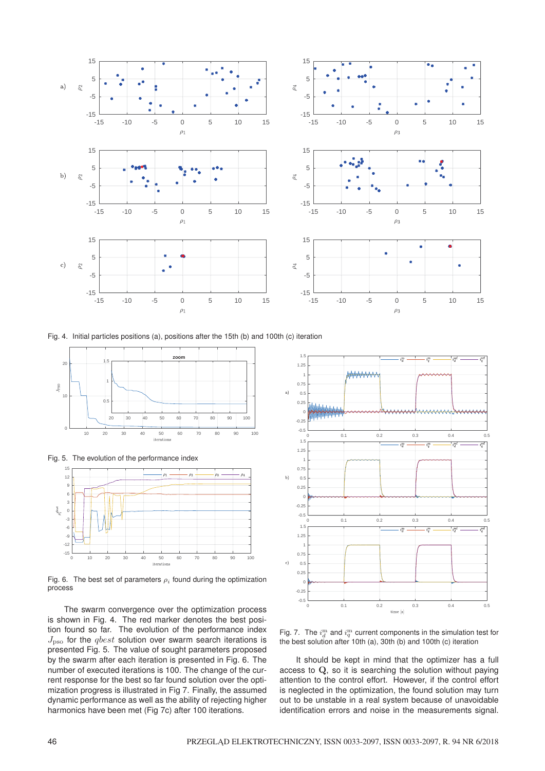

Fig. 4. Initial particles positions (a), positions after the 15th (b) and 100th (c) iteration



Fig. 5. The evolution of the performance index



Fig. 6. The best set of parameters  $\rho_i$  found during the optimization process

The swarm convergence over the optimization process is shown in Fig. 4. The red marker denotes the best position found so far. The evolution of the performance index  $J_{\text{pso}}$  for the *qbest* solution over swarm search iterations is presented Fig. 5. The value of sought parameters proposed by the swarm after each iteration is presented in Fig. 6. The number of executed iterations is 100. The change of the current response for the best so far found solution over the optimization progress is illustrated in Fig 7. Finally, the assumed dynamic performance as well as the ability of rejecting higher harmonics have been met (Fig 7c) after 100 iterations.



Fig. 7. The  $i_d^{\text{m}}$  and  $i_q^{\text{m}}$  current components in the simulation test for the best solution after 10th (a), 30th (b) and 100th (c) iteration

It should be kept in mind that the optimizer has a full access to **Q**, so it is searching the solution without paying attention to the control effort. However, if the control effort is neglected in the optimization, the found solution may turn out to be unstable in a real system because of unavoidable identification errors and noise in the measurements signal.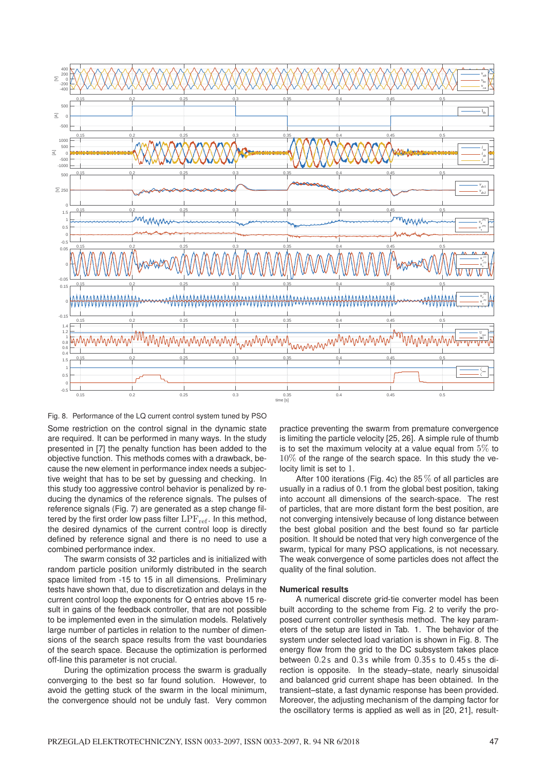

Fig. 8. Performance of the LQ current control system tuned by PSO Some restriction on the control signal in the dynamic state are required. It can be performed in many ways. In the study presented in [7] the penalty function has been added to the objective function. This methods comes with a drawback, because the new element in performance index needs a subjective weight that has to be set by guessing and checking. In this study too aggressive control behavior is penalized by reducing the dynamics of the reference signals. The pulses of reference signals (Fig. 7) are generated as a step change filtered by the first order low pass filter  $LPF_{ref}$ . In this method, the desired dynamics of the current control loop is directly defined by reference signal and there is no need to use a combined performance index.

The swarm consists of 32 particles and is initialized with random particle position uniformly distributed in the search space limited from -15 to 15 in all dimensions. Preliminary tests have shown that, due to discretization and delays in the current control loop the exponents for Q entries above 15 result in gains of the feedback controller, that are not possible to be implemented even in the simulation models. Relatively large number of particles in relation to the number of dimensions of the search space results from the vast boundaries of the search space. Because the optimization is performed off-line this parameter is not crucial.

During the optimization process the swarm is gradually converging to the best so far found solution. However, to avoid the getting stuck of the swarm in the local minimum, the convergence should not be unduly fast. Very common

practice preventing the swarm from premature convergence is limiting the particle velocity [25, 26]. A simple rule of thumb is to set the maximum velocity at a value equal from  $5\%$  to 10% of the range of the search space. In this study the velocity limit is set to 1.

After 100 iterations (Fig. 4c) the  $85\%$  of all particles are usually in a radius of 0.1 from the global best position, taking into account all dimensions of the search-space. The rest of particles, that are more distant form the best position, are not converging intensively because of long distance between the best global position and the best found so far particle position. It should be noted that very high convergence of the swarm, typical for many PSO applications, is not necessary. The weak convergence of some particles does not affect the quality of the final solution.

## **Numerical results**

A numerical discrete grid-tie converter model has been built according to the scheme from Fig. 2 to verify the proposed current controller synthesis method. The key parameters of the setup are listed in Tab. 1. The behavior of the system under selected load variation is shown in Fig. 8. The energy flow from the grid to the DC subsystem takes place between 0.2s and 0.3s while from 0.35s to 0.45s the direction is opposite. In the steady–state, nearly sinusoidal and balanced grid current shape has been obtained. In the transient–state, a fast dynamic response has been provided. Moreover, the adjusting mechanism of the damping factor for the oscillatory terms is applied as well as in [20, 21], result